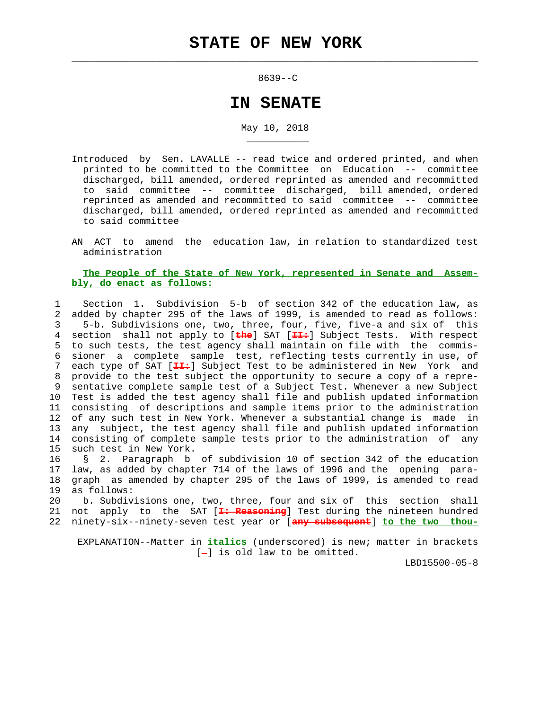$\mathcal{L}_\text{max} = \frac{1}{2} \sum_{i=1}^{n} \frac{1}{2} \sum_{i=1}^{n} \frac{1}{2} \sum_{i=1}^{n} \frac{1}{2} \sum_{i=1}^{n} \frac{1}{2} \sum_{i=1}^{n} \frac{1}{2} \sum_{i=1}^{n} \frac{1}{2} \sum_{i=1}^{n} \frac{1}{2} \sum_{i=1}^{n} \frac{1}{2} \sum_{i=1}^{n} \frac{1}{2} \sum_{i=1}^{n} \frac{1}{2} \sum_{i=1}^{n} \frac{1}{2} \sum_{i=1}^{n} \frac{1$ 

\_\_\_\_\_\_\_\_\_\_\_

8639--C

## **IN SENATE**

## May 10, 2018

- Introduced by Sen. LAVALLE -- read twice and ordered printed, and when printed to be committed to the Committee on Education -- committee discharged, bill amended, ordered reprinted as amended and recommitted to said committee -- committee discharged, bill amended, ordered reprinted as amended and recommitted to said committee -- committee discharged, bill amended, ordered reprinted as amended and recommitted to said committee
- AN ACT to amend the education law, in relation to standardized test administration

## **The People of the State of New York, represented in Senate and Assem bly, do enact as follows:**

 1 Section 1. Subdivision 5-b of section 342 of the education law, as 2 added by chapter 295 of the laws of 1999, is amended to read as follows: 3 5-b. Subdivisions one, two, three, four, five, five-a and six of this 4 section shall not apply to [**the**] SAT [**II:**] Subject Tests. With respect 5 to such tests, the test agency shall maintain on file with the commis- 6 sioner a complete sample test, reflecting tests currently in use, of 7 each type of SAT [**II:**] Subject Test to be administered in New York and 8 provide to the test subject the opportunity to secure a copy of a repre- 9 sentative complete sample test of a Subject Test. Whenever a new Subject 10 Test is added the test agency shall file and publish updated information 11 consisting of descriptions and sample items prior to the administration 12 of any such test in New York. Whenever a substantial change is made in 13 any subject, the test agency shall file and publish updated information 14 consisting of complete sample tests prior to the administration of any 15 such test in New York.

 16 § 2. Paragraph b of subdivision 10 of section 342 of the education 17 law, as added by chapter 714 of the laws of 1996 and the opening para- 18 graph as amended by chapter 295 of the laws of 1999, is amended to read 19 as follows:

 20 b. Subdivisions one, two, three, four and six of this section shall 21 not apply to the SAT [**I: Reasoning**] Test during the nineteen hundred 22 ninety-six--ninety-seven test year or [**any subsequent**] **to the two thou-**

 EXPLANATION--Matter in **italics** (underscored) is new; matter in brackets  $[-]$  is old law to be omitted.

LBD15500-05-8